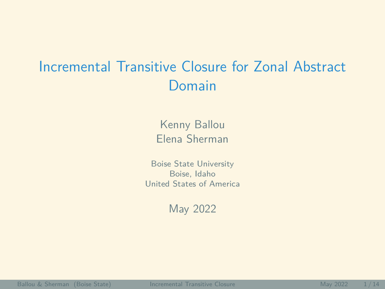# <span id="page-0-0"></span>Incremental Transitive Closure for Zonal Abstract Domain

Kenny Ballou Elena Sherman

Boise State University Boise, Idaho United States of America

May 2022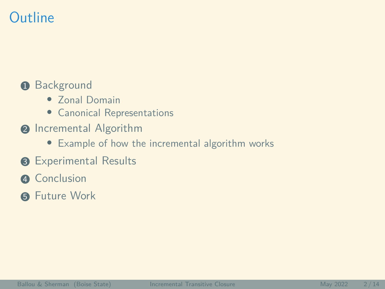# **Outline**

#### **1** Background

- Zonal Domain
- Canonical Representations
- **2** Incremental Algorithm
	- Example of how the incremental algorithm works
- **8 Experimental Results**
- **A** Conclusion
- **6** Future Work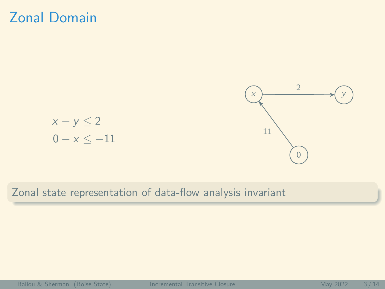### Zonal Domain



Zonal state representation of data-flow analysis invariant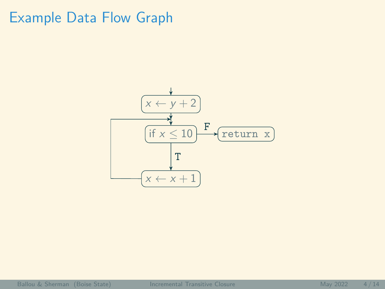# Example Data Flow Graph

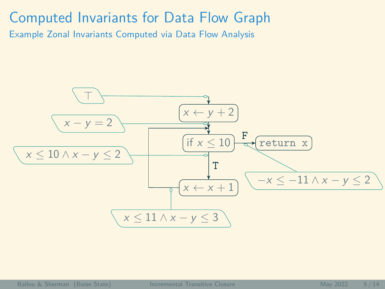#### Computed Invariants for Data Flow Graph

Example Zonal Invariants Computed via Data Flow Analysis

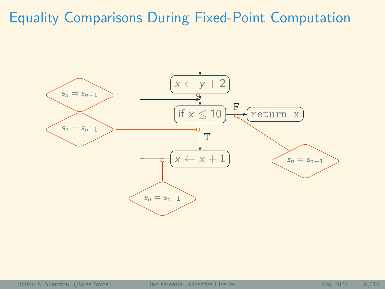# Equality Comparisons During Fixed-Point Computation

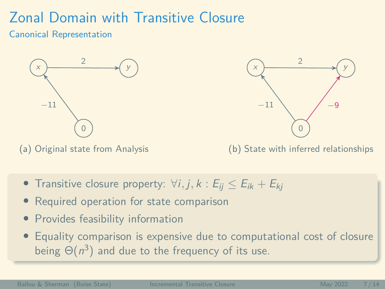# Zonal Domain with Transitive Closure

#### Canonical Representation



(a) Original state from Analysis



(b) State with inferred relationships

- Transitive closure property:  $\forall i, j, k : E_{ii} \le E_{ik} + E_{ki}$
- Required operation for state comparison
- Provides feasibility information
- Equality comparison is expensive due to computational cost of closure being  $\Theta(n^3)$  and due to the frequency of its use.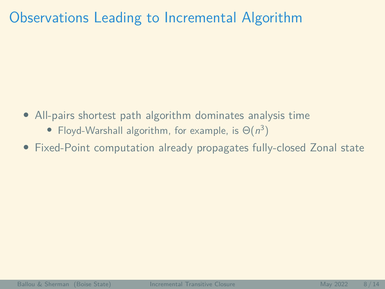# Observations Leading to Incremental Algorithm

- All-pairs shortest path algorithm dominates analysis time
	- Floyd-Warshall algorithm, for example, is  $\Theta(n^3)$
- Fixed-Point computation already propagates fully-closed Zonal state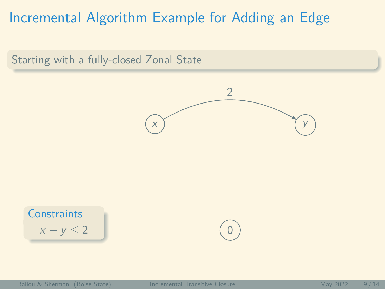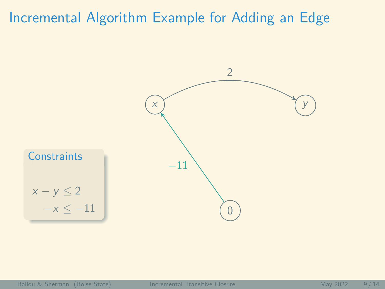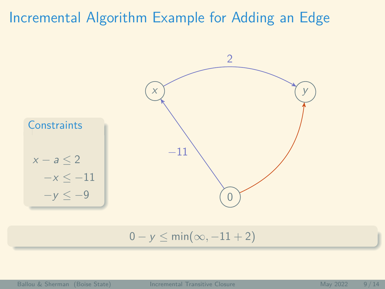

 $0 - y \le \min(\infty, -11 + 2)$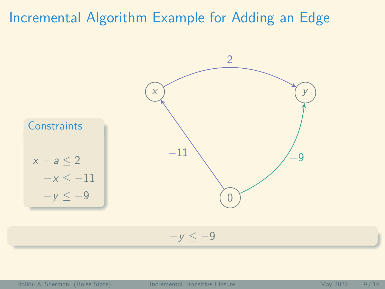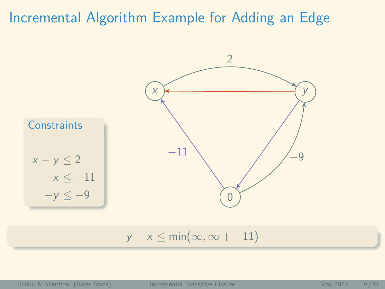

 $y - x \leq min(\infty, \infty + -11)$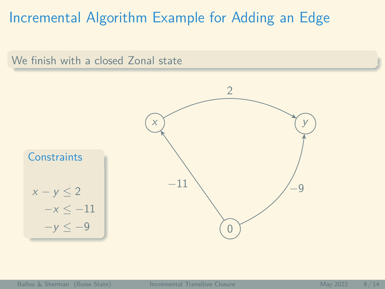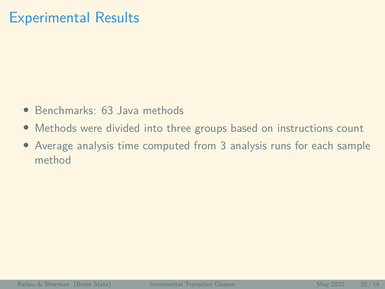### Experimental Results

- Benchmarks: 63 Java methods
- Methods were divided into three groups based on instructions count
- Average analysis time computed from 3 analysis runs for each sample method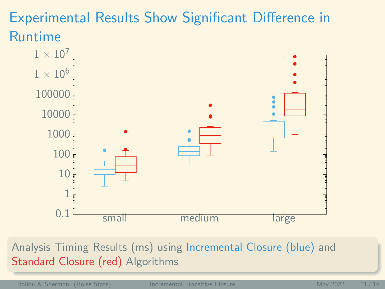# Experimental Results Show Significant Difference in Runtime



Analysis Timing Results (ms) using Incremental Closure (blue) and Standard Closure (red) Algorithms

Ballou & Sherman (Boise State) [Incremental Transitive Closure](#page-0-0) May 2022 11/14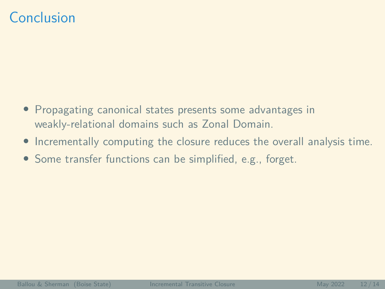# Conclusion

- Propagating canonical states presents some advantages in weakly-relational domains such as Zonal Domain.
- Incrementally computing the closure reduces the overall analysis time.
- Some transfer functions can be simplified, e.g., forget.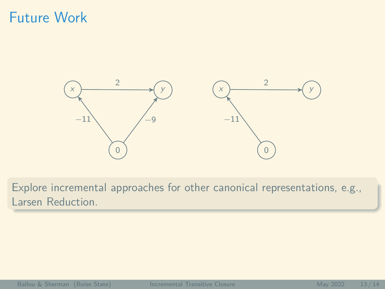# Future Work



Explore incremental approaches for other canonical representations, e.g., Larsen Reduction.